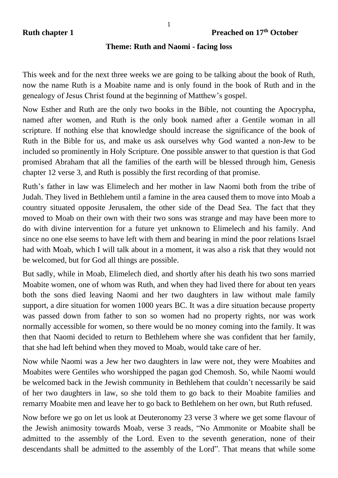## **Theme: Ruth and Naomi - facing loss**

This week and for the next three weeks we are going to be talking about the book of Ruth, now the name Ruth is a Moabite name and is only found in the book of Ruth and in the genealogy of Jesus Christ found at the beginning of Matthew's gospel.

Now Esther and Ruth are the only two books in the Bible, not counting the Apocrypha, named after women, and Ruth is the only book named after a Gentile woman in all scripture. If nothing else that knowledge should increase the significance of the book of Ruth in the Bible for us, and make us ask ourselves why God wanted a non-Jew to be included so prominently in Holy Scripture. One possible answer to that question is that God promised Abraham that all the families of the earth will be blessed through him, Genesis chapter 12 verse 3, and Ruth is possibly the first recording of that promise.

Ruth's father in law was Elimelech and her mother in law Naomi both from the tribe of Judah. They lived in Bethlehem until a famine in the area caused them to move into Moab a country situated opposite Jerusalem, the other side of the Dead Sea. The fact that they moved to Moab on their own with their two sons was strange and may have been more to do with divine intervention for a future yet unknown to Elimelech and his family. And since no one else seems to have left with them and bearing in mind the poor relations Israel had with Moab, which I will talk about in a moment, it was also a risk that they would not be welcomed, but for God all things are possible.

But sadly, while in Moab, Elimelech died, and shortly after his death his two sons married Moabite women, one of whom was Ruth, and when they had lived there for about ten years both the sons died leaving Naomi and her two daughters in law without male family support, a dire situation for women 1000 years BC. It was a dire situation because property was passed down from father to son so women had no property rights, nor was work normally accessible for women, so there would be no money coming into the family. It was then that Naomi decided to return to Bethlehem where she was confident that her family, that she had left behind when they moved to Moab, would take care of her.

Now while Naomi was a Jew her two daughters in law were not, they were Moabites and Moabites were Gentiles who worshipped the pagan god Chemosh. So, while Naomi would be welcomed back in the Jewish community in Bethlehem that couldn't necessarily be said of her two daughters in law, so she told them to go back to their Moabite families and remarry Moabite men and leave her to go back to Bethlehem on her own, but Ruth refused.

Now before we go on let us look at Deuteronomy 23 verse 3 where we get some flavour of the Jewish animosity towards Moab, verse 3 reads, "No Ammonite or Moabite shall be admitted to the assembly of the Lord. Even to the seventh generation, none of their descendants shall be admitted to the assembly of the Lord". That means that while some

1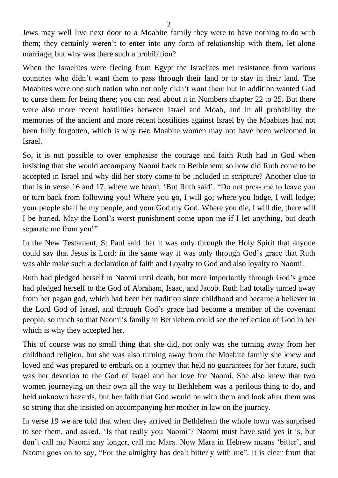Jews may well live next door to a Moabite family they were to have nothing to do with them; they certainly weren't to enter into any form of relationship with them, let alone marriage; but why was there such a prohibition?

When the Israelites were fleeing from Egypt the Israelites met resistance from various countries who didn't want them to pass through their land or to stay in their land. The Moabites were one such nation who not only didn't want them but in addition wanted God to curse them for being there; you can read about it in Numbers chapter 22 to 25. But there were also more recent hostilities between Israel and Moab, and in all probability the memories of the ancient and more recent hostilities against Israel by the Moabites had not been fully forgotten, which is why two Moabite women may not have been welcomed in Israel.

So, it is not possible to over emphasise the courage and faith Ruth had in God when insisting that she would accompany Naomi back to Bethlehem; so how did Ruth come to be accepted in Israel and why did her story come to be included in scripture? Another clue to that is in verse 16 and 17, where we heard, 'But Ruth said'. "Do not press me to leave you or turn back from following you! Where you go, I will go; where you lodge, I will lodge; your people shall be my people, and your God my God. Where you die, I will die, there will I be buried. May the Lord's worst punishment come upon me if I let anything, but death separate me from you!"

In the New Testament, St Paul said that it was only through the Holy Spirit that anyone could say that Jesus is Lord; in the same way it was only through God's grace that Ruth was able make such a declaration of faith and Loyalty to God and also loyalty to Naomi.

Ruth had pledged herself to Naomi until death, but more importantly through God's grace had pledged herself to the God of Abraham, Isaac, and Jacob. Ruth had totally turned away from her pagan god, which had been her tradition since childhood and became a believer in the Lord God of Israel, and through God's grace had become a member of the covenant people, so much so that Naomi's family in Bethlehem could see the reflection of God in her which is why they accepted her.

This of course was no small thing that she did, not only was she turning away from her childhood religion, but she was also turning away from the Moabite family she knew and loved and was prepared to embark on a journey that held no guarantees for her future, such was her devotion to the God of Israel and her love for Naomi. She also knew that two women journeying on their own all the way to Bethlehem was a perilous thing to do, and held unknown hazards, but her faith that God would be with them and look after them was so strong that she insisted on accompanying her mother in law on the journey.

In verse 19 we are told that when they arrived in Bethlehem the whole town was surprised to see them, and asked, 'Is that really you Naomi'? Naomi must have said yes it is, but don't call me Naomi any longer, call me Mara. Now Mara in Hebrew means 'bitter', and Naomi goes on to say, "For the almighty has dealt bitterly with me". It is clear from that